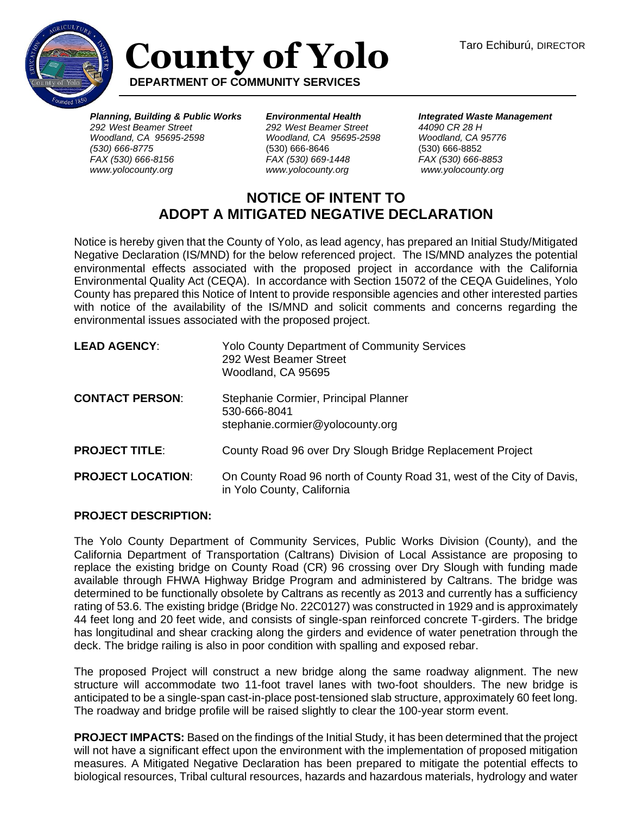

## **County of Yolo DEPARTMENT OF COMMUNITY SERVICES**

*Planning, Building & Public Works 292 West Beamer Street Woodland, CA 95695-2598 (530) 666-8775 FAX (530) 666-8156 www.yolocounty.org*

*Environmental Health 292 West Beamer Street Woodland, CA 95695-2598*  (530) 666-8646 *FAX (530) 669-1448 www.yolocounty.org*

*Integrated Waste Management 44090 CR 28 H Woodland, CA 95776* (530) 666-8852 *FAX (530) 666-8853 www.yolocounty.org*

## **NOTICE OF INTENT TO ADOPT A MITIGATED NEGATIVE DECLARATION**

Notice is hereby given that the County of Yolo, as lead agency, has prepared an Initial Study/Mitigated Negative Declaration (IS/MND) for the below referenced project. The IS/MND analyzes the potential environmental effects associated with the proposed project in accordance with the California Environmental Quality Act (CEQA). In accordance with Section 15072 of the CEQA Guidelines, Yolo County has prepared this Notice of Intent to provide responsible agencies and other interested parties with notice of the availability of the IS/MND and solicit comments and concerns regarding the environmental issues associated with the proposed project.

| <b>LEAD AGENCY:</b>      | <b>Yolo County Department of Community Services</b><br>292 West Beamer Street<br>Woodland, CA 95695 |
|--------------------------|-----------------------------------------------------------------------------------------------------|
| <b>CONTACT PERSON:</b>   | Stephanie Cormier, Principal Planner<br>530-666-8041<br>stephanie.cormier@yolocounty.org            |
| <b>PROJECT TITLE:</b>    | County Road 96 over Dry Slough Bridge Replacement Project                                           |
| <b>PROJECT LOCATION:</b> | On County Road 96 north of County Road 31, west of the City of Davis,<br>in Yolo County, California |

## **PROJECT DESCRIPTION:**

The Yolo County Department of Community Services, Public Works Division (County), and the California Department of Transportation (Caltrans) Division of Local Assistance are proposing to replace the existing bridge on County Road (CR) 96 crossing over Dry Slough with funding made available through FHWA Highway Bridge Program and administered by Caltrans. The bridge was determined to be functionally obsolete by Caltrans as recently as 2013 and currently has a sufficiency rating of 53.6. The existing bridge (Bridge No. 22C0127) was constructed in 1929 and is approximately 44 feet long and 20 feet wide, and consists of single-span reinforced concrete T-girders. The bridge has longitudinal and shear cracking along the girders and evidence of water penetration through the deck. The bridge railing is also in poor condition with spalling and exposed rebar.

The proposed Project will construct a new bridge along the same roadway alignment. The new structure will accommodate two 11-foot travel lanes with two-foot shoulders. The new bridge is anticipated to be a single-span cast-in-place post-tensioned slab structure, approximately 60 feet long. The roadway and bridge profile will be raised slightly to clear the 100-year storm event.

**PROJECT IMPACTS:** Based on the findings of the Initial Study, it has been determined that the project will not have a significant effect upon the environment with the implementation of proposed mitigation measures. A Mitigated Negative Declaration has been prepared to mitigate the potential effects to biological resources, Tribal cultural resources, hazards and hazardous materials, hydrology and water